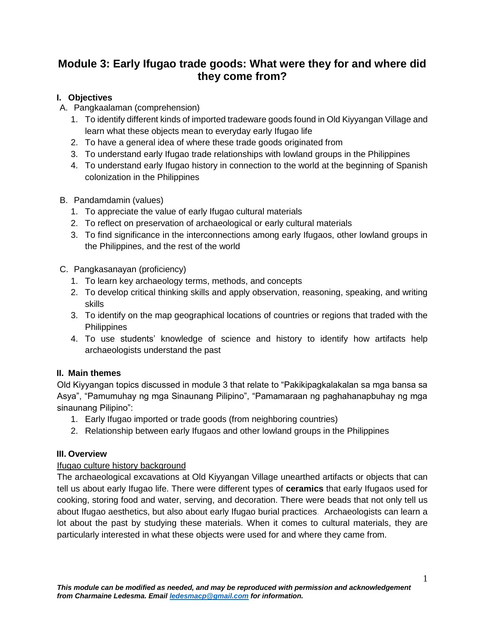# **Module 3: Early Ifugao trade goods: What were they for and where did they come from?**

## **I. Objectives**

- A. Pangkaalaman (comprehension)
	- 1. To identify different kinds of imported tradeware goods found in Old Kiyyangan Village and learn what these objects mean to everyday early Ifugao life
	- 2. To have a general idea of where these trade goods originated from
	- 3. To understand early Ifugao trade relationships with lowland groups in the Philippines
	- 4. To understand early Ifugao history in connection to the world at the beginning of Spanish colonization in the Philippines
- B. Pandamdamin (values)
	- 1. To appreciate the value of early Ifugao cultural materials
	- 2. To reflect on preservation of archaeological or early cultural materials
	- 3. To find significance in the interconnections among early Ifugaos, other lowland groups in the Philippines, and the rest of the world
- C. Pangkasanayan (proficiency)
	- 1. To learn key archaeology terms, methods, and concepts
	- 2. To develop critical thinking skills and apply observation, reasoning, speaking, and writing skills
	- 3. To identify on the map geographical locations of countries or regions that traded with the **Philippines**
	- 4. To use students' knowledge of science and history to identify how artifacts help archaeologists understand the past

## **II. Main themes**

Old Kiyyangan topics discussed in module 3 that relate to "Pakikipagkalakalan sa mga bansa sa Asya", "Pamumuhay ng mga Sinaunang Pilipino", "Pamamaraan ng paghahanapbuhay ng mga sinaunang Pilipino":

- 1. Early Ifugao imported or trade goods (from neighboring countries)
- 2. Relationship between early Ifugaos and other lowland groups in the Philippines

## **III. Overview**

## Ifugao culture history background

The archaeological excavations at Old Kiyyangan Village unearthed artifacts or objects that can tell us about early Ifugao life. There were different types of **ceramics** that early Ifugaos used for cooking, storing food and water, serving, and decoration. There were beads that not only tell us about Ifugao aesthetics, but also about early Ifugao burial practices. Archaeologists can learn a lot about the past by studying these materials. When it comes to cultural materials, they are particularly interested in what these objects were used for and where they came from.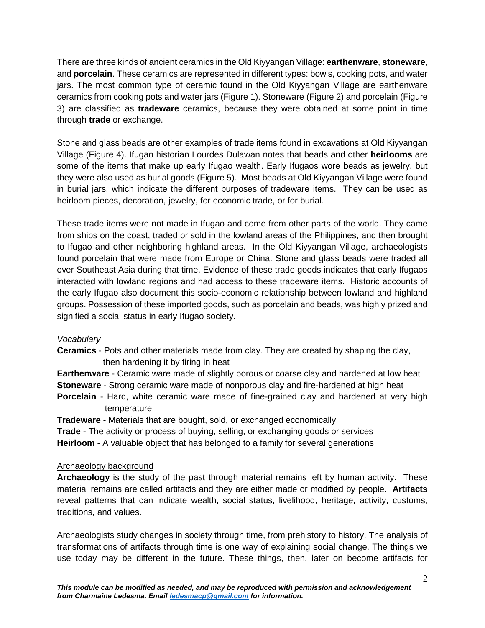There are three kinds of ancient ceramics in the Old Kiyyangan Village: **earthenware**, **stoneware**, and **porcelain**. These ceramics are represented in different types: bowls, cooking pots, and water jars. The most common type of ceramic found in the Old Kiyyangan Village are earthenware ceramics from cooking pots and water jars (Figure 1). Stoneware (Figure 2) and porcelain (Figure 3) are classified as **tradeware** ceramics, because they were obtained at some point in time through **trade** or exchange.

Stone and glass beads are other examples of trade items found in excavations at Old Kiyyangan Village (Figure 4). Ifugao historian Lourdes Dulawan notes that beads and other **heirlooms** are some of the items that make up early Ifugao wealth. Early Ifugaos wore beads as jewelry, but they were also used as burial goods (Figure 5). Most beads at Old Kiyyangan Village were found in burial jars, which indicate the different purposes of tradeware items. They can be used as heirloom pieces, decoration, jewelry, for economic trade, or for burial.

These trade items were not made in Ifugao and come from other parts of the world. They came from ships on the coast, traded or sold in the lowland areas of the Philippines, and then brought to Ifugao and other neighboring highland areas. In the Old Kiyyangan Village, archaeologists found porcelain that were made from Europe or China. Stone and glass beads were traded all over Southeast Asia during that time. Evidence of these trade goods indicates that early Ifugaos interacted with lowland regions and had access to these tradeware items. Historic accounts of the early Ifugao also document this socio-economic relationship between lowland and highland groups. Possession of these imported goods, such as porcelain and beads, was highly prized and signified a social status in early Ifugao society.

#### *Vocabulary*

- **Ceramics** Pots and other materials made from clay. They are created by shaping the clay, then hardening it by firing in heat
- **Earthenware** Ceramic ware made of slightly porous or coarse clay and hardened at low heat

**Stoneware** - Strong ceramic ware made of nonporous clay and fire-hardened at high heat

- **Porcelain** Hard, white ceramic ware made of fine-grained clay and hardened at very high temperature
- **Tradeware** Materials that are bought, sold, or exchanged economically

**Trade** - The activity or process of buying, selling, or exchanging goods or services

**Heirloom** - A valuable object that has belonged to a family for several generations

#### Archaeology background

**Archaeology** is the study of the past through material remains left by human activity. These material remains are called artifacts and they are either made or modified by people. **Artifacts** reveal patterns that can indicate wealth, social status, livelihood, heritage, activity, customs, traditions, and values.

Archaeologists study changes in society through time, from prehistory to history. The analysis of transformations of artifacts through time is one way of explaining social change. The things we use today may be different in the future. These things, then, later on become artifacts for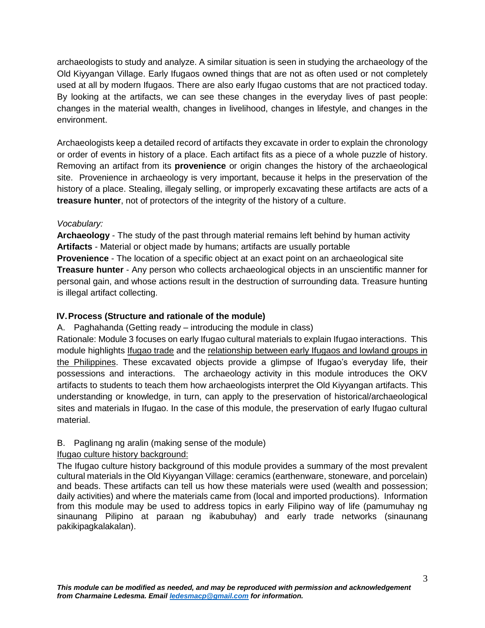archaeologists to study and analyze. A similar situation is seen in studying the archaeology of the Old Kiyyangan Village. Early Ifugaos owned things that are not as often used or not completely used at all by modern Ifugaos. There are also early Ifugao customs that are not practiced today. By looking at the artifacts, we can see these changes in the everyday lives of past people: changes in the material wealth, changes in livelihood, changes in lifestyle, and changes in the environment.

Archaeologists keep a detailed record of artifacts they excavate in order to explain the chronology or order of events in history of a place. Each artifact fits as a piece of a whole puzzle of history. Removing an artifact from its **provenience** or origin changes the history of the archaeological site. Provenience in archaeology is very important, because it helps in the preservation of the history of a place. Stealing, illegaly selling, or improperly excavating these artifacts are acts of a **treasure hunter**, not of protectors of the integrity of the history of a culture.

## *Vocabulary:*

**Archaeology** - The study of the past through material remains left behind by human activity **Artifacts** - Material or object made by humans; artifacts are usually portable

**Provenience** - The location of a specific object at an exact point on an archaeological site **Treasure hunter** - Any person who collects archaeological objects in an unscientific manner for personal gain, and whose actions result in the destruction of surrounding data. Treasure hunting is illegal artifact collecting.

## **IV.Process (Structure and rationale of the module)**

A. Paghahanda (Getting ready – introducing the module in class)

Rationale: Module 3 focuses on early Ifugao cultural materials to explain Ifugao interactions. This module highlights Ifugao trade and the relationship between early Ifugaos and lowland groups in the Philippines. These excavated objects provide a glimpse of Ifugao's everyday life, their possessions and interactions. The archaeology activity in this module introduces the OKV artifacts to students to teach them how archaeologists interpret the Old Kiyyangan artifacts. This understanding or knowledge, in turn, can apply to the preservation of historical/archaeological sites and materials in Ifugao. In the case of this module, the preservation of early Ifugao cultural material.

## B. Paglinang ng aralin (making sense of the module)

Ifugao culture history background:

The Ifugao culture history background of this module provides a summary of the most prevalent cultural materials in the Old Kiyyangan Village: ceramics (earthenware, stoneware, and porcelain) and beads. These artifacts can tell us how these materials were used (wealth and possession; daily activities) and where the materials came from (local and imported productions). Information from this module may be used to address topics in early Filipino way of life (pamumuhay ng sinaunang Pilipino at paraan ng ikabubuhay) and early trade networks (sinaunang pakikipagkalakalan).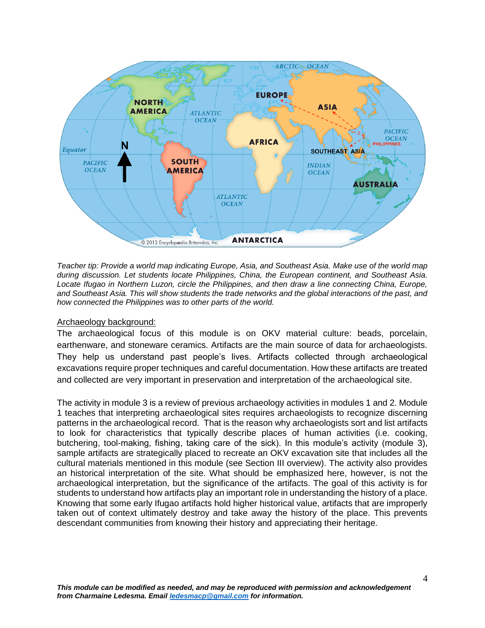

*Teacher tip: Provide a world map indicating Europe, Asia, and Southeast Asia. Make use of the world map during discussion. Let students locate Philippines, China, the European continent, and Southeast Asia. Locate Ifugao in Northern Luzon, circle the Philippines, and then draw a line connecting China, Europe, and Southeast Asia. This will show students the trade networks and the global interactions of the past, and how connected the Philippines was to other parts of the world.*

#### Archaeology background:

The archaeological focus of this module is on OKV material culture: beads, porcelain, earthenware, and stoneware ceramics. Artifacts are the main source of data for archaeologists. They help us understand past people's lives. Artifacts collected through archaeological excavations require proper techniques and careful documentation. How these artifacts are treated and collected are very important in preservation and interpretation of the archaeological site.

The activity in module 3 is a review of previous archaeology activities in modules 1 and 2. Module 1 teaches that interpreting archaeological sites requires archaeologists to recognize discerning patterns in the archaeological record. That is the reason why archaeologists sort and list artifacts to look for characteristics that typically describe places of human activities (i.e. cooking, butchering, tool-making, fishing, taking care of the sick). In this module's activity (module 3), sample artifacts are strategically placed to recreate an OKV excavation site that includes all the cultural materials mentioned in this module (see Section III overview). The activity also provides an historical interpretation of the site. What should be emphasized here, however, is not the archaeological interpretation, but the significance of the artifacts. The goal of this activity is for students to understand how artifacts play an important role in understanding the history of a place. Knowing that some early Ifugao artifacts hold higher historical value, artifacts that are improperly taken out of context ultimately destroy and take away the history of the place. This prevents descendant communities from knowing their history and appreciating their heritage.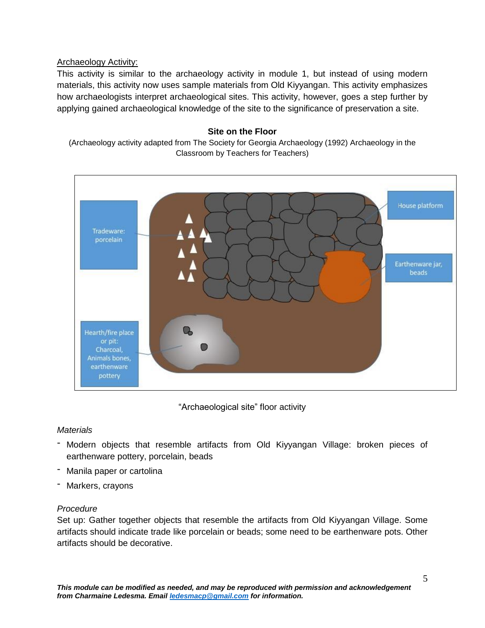### Archaeology Activity:

This activity is similar to the archaeology activity in module 1, but instead of using modern materials, this activity now uses sample materials from Old Kiyyangan. This activity emphasizes how archaeologists interpret archaeological sites. This activity, however, goes a step further by applying gained archaeological knowledge of the site to the significance of preservation a site.

#### **Site on the Floor**

(Archaeology activity adapted from The Society for Georgia Archaeology (1992) Archaeology in the Classroom by Teachers for Teachers)



"Archaeological site" floor activity

#### *Materials*

- Modern objects that resemble artifacts from Old Kiyyangan Village: broken pieces of earthenware pottery, porcelain, beads
- Manila paper or cartolina
- Markers, crayons

## *Procedure*

Set up: Gather together objects that resemble the artifacts from Old Kiyyangan Village. Some artifacts should indicate trade like porcelain or beads; some need to be earthenware pots. Other artifacts should be decorative.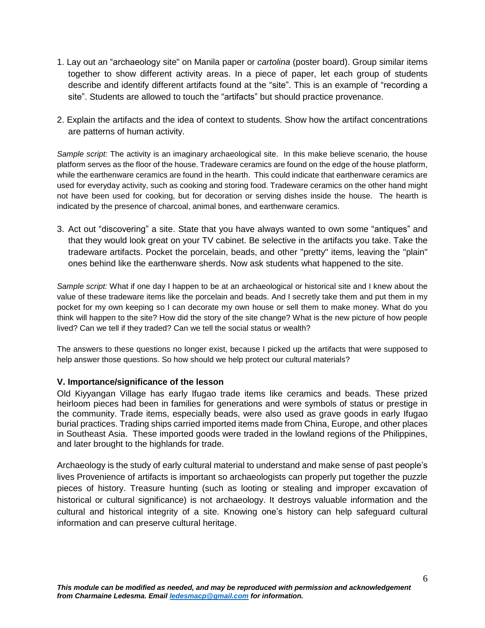- 1. Lay out an "archaeology site" on Manila paper or *cartolina* (poster board). Group similar items together to show different activity areas. In a piece of paper, let each group of students describe and identify different artifacts found at the "site". This is an example of "recording a site". Students are allowed to touch the "artifacts" but should practice provenance.
- 2. Explain the artifacts and the idea of context to students. Show how the artifact concentrations are patterns of human activity.

*Sample script:* The activity is an imaginary archaeological site. In this make believe scenario, the house platform serves as the floor of the house. Tradeware ceramics are found on the edge of the house platform, while the earthenware ceramics are found in the hearth. This could indicate that earthenware ceramics are used for everyday activity, such as cooking and storing food. Tradeware ceramics on the other hand might not have been used for cooking, but for decoration or serving dishes inside the house. The hearth is indicated by the presence of charcoal, animal bones, and earthenware ceramics.

3. Act out "discovering" a site. State that you have always wanted to own some "antiques" and that they would look great on your TV cabinet. Be selective in the artifacts you take. Take the tradeware artifacts. Pocket the porcelain, beads, and other "pretty" items, leaving the "plain" ones behind like the earthenware sherds. Now ask students what happened to the site.

*Sample script:* What if one day I happen to be at an archaeological or historical site and I knew about the value of these tradeware items like the porcelain and beads. And I secretly take them and put them in my pocket for my own keeping so I can decorate my own house or sell them to make money. What do you think will happen to the site? How did the story of the site change? What is the new picture of how people lived? Can we tell if they traded? Can we tell the social status or wealth?

The answers to these questions no longer exist, because I picked up the artifacts that were supposed to help answer those questions. So how should we help protect our cultural materials?

#### **V. Importance/significance of the lesson**

Old Kiyyangan Village has early Ifugao trade items like ceramics and beads. These prized heirloom pieces had been in families for generations and were symbols of status or prestige in the community. Trade items, especially beads, were also used as grave goods in early Ifugao burial practices. Trading ships carried imported items made from China, Europe, and other places in Southeast Asia. These imported goods were traded in the lowland regions of the Philippines, and later brought to the highlands for trade.

Archaeology is the study of early cultural material to understand and make sense of past people's lives Provenience of artifacts is important so archaeologists can properly put together the puzzle pieces of history. Treasure hunting (such as looting or stealing and improper excavation of historical or cultural significance) is not archaeology. It destroys valuable information and the cultural and historical integrity of a site. Knowing one's history can help safeguard cultural information and can preserve cultural heritage.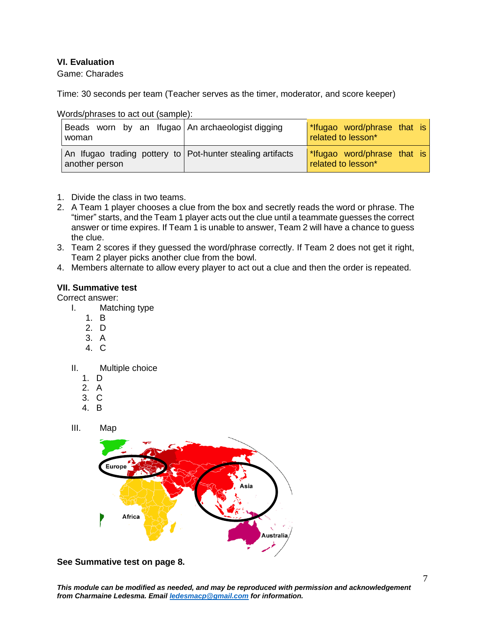#### **VI. Evaluation**

Game: Charades

Time: 30 seconds per team (Teacher serves as the timer, moderator, and score keeper)

| Beads worn by an Ifugao An archaeologist digging<br>woman                    | *Ifugao word/phrase that is<br>related to lesson* |
|------------------------------------------------------------------------------|---------------------------------------------------|
| An Ifugao trading pottery to Pot-hunter stealing artifacts<br>another person | *Ifugao word/phrase that is<br>related to lesson* |

Words/phrases to act out (sample):

- 1. Divide the class in two teams.
- 2. A Team 1 player chooses a clue from the box and secretly reads the word or phrase. The "timer" starts, and the Team 1 player acts out the clue until a teammate guesses the correct answer or time expires. If Team 1 is unable to answer, Team 2 will have a chance to guess the clue.
- 3. Team 2 scores if they guessed the word/phrase correctly. If Team 2 does not get it right, Team 2 player picks another clue from the bowl.
- 4. Members alternate to allow every player to act out a clue and then the order is repeated.

#### **VII. Summative test**

Correct answer:

- I. Matching type
	- 1. B
	- 2. D
	- 3. A
	- 4. C

#### II. Multiple choice

- 1. D
- 2. A
- 3. C
- 4. B
- III. Map



**See Summative test on page 8.**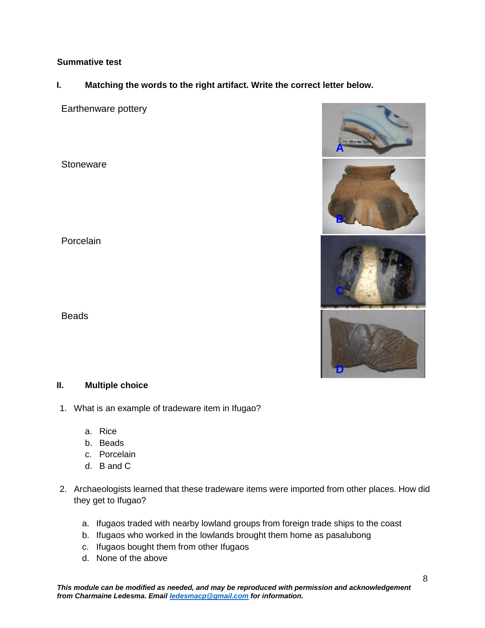### **Summative test**

## **I. Matching the words to the right artifact. Write the correct letter below.**

Earthenware pottery

**Stoneware** 

Porcelain

**Beads** 

#### **II. Multiple choice**

- 1. What is an example of tradeware item in Ifugao?
	- a. Rice
	- b. Beads
	- c. Porcelain
	- d. B and C
- 2. Archaeologists learned that these tradeware items were imported from other places. How did they get to Ifugao?
	- a. Ifugaos traded with nearby lowland groups from foreign trade ships to the coast
	- b. Ifugaos who worked in the lowlands brought them home as pasalubong
	- c. Ifugaos bought them from other Ifugaos
	- d. None of the above

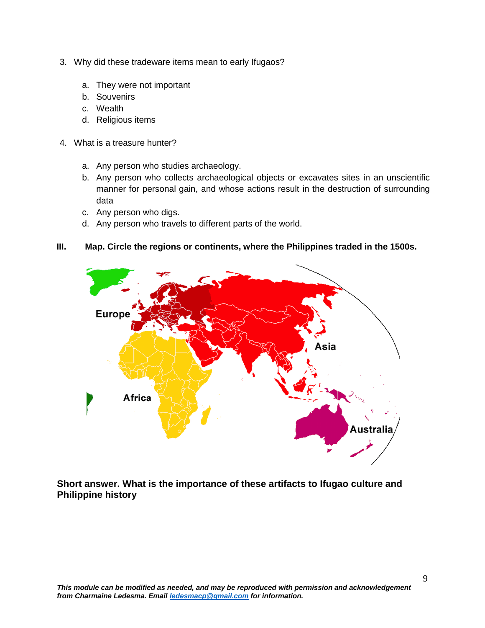- 3. Why did these tradeware items mean to early Ifugaos?
	- a. They were not important
	- b. Souvenirs
	- c. Wealth
	- d. Religious items
- 4. What is a treasure hunter?
	- a. Any person who studies archaeology.
	- b. Any person who collects archaeological objects or excavates sites in an unscientific manner for personal gain, and whose actions result in the destruction of surrounding data
	- c. Any person who digs.
	- d. Any person who travels to different parts of the world.

#### **III. Map. Circle the regions or continents, where the Philippines traded in the 1500s.**



**Short answer. What is the importance of these artifacts to Ifugao culture and Philippine history**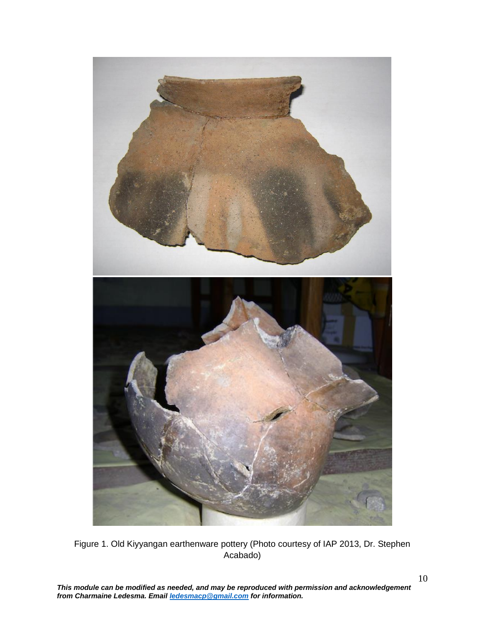

Figure 1. Old Kiyyangan earthenware pottery (Photo courtesy of IAP 2013, Dr. Stephen Acabado)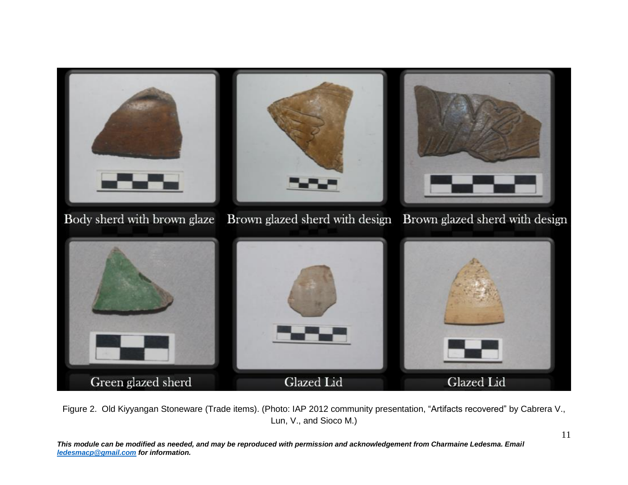

Figure 2. Old Kiyyangan Stoneware (Trade items). (Photo: IAP 2012 community presentation, "Artifacts recovered" by Cabrera V., Lun, V., and Sioco M.)

*This module can be modified as needed, and may be reproduced with permission and acknowledgement from Charmaine Ledesma. Email [ledesmacp@gmail.com](mailto:ledesmacp@gmail.com) for information.*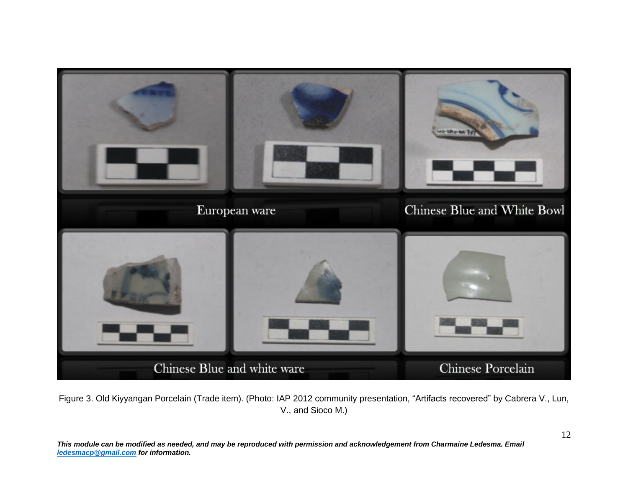

Figure 3. Old Kiyyangan Porcelain (Trade item). (Photo: IAP 2012 community presentation, "Artifacts recovered" by Cabrera V., Lun, V., and Sioco M.)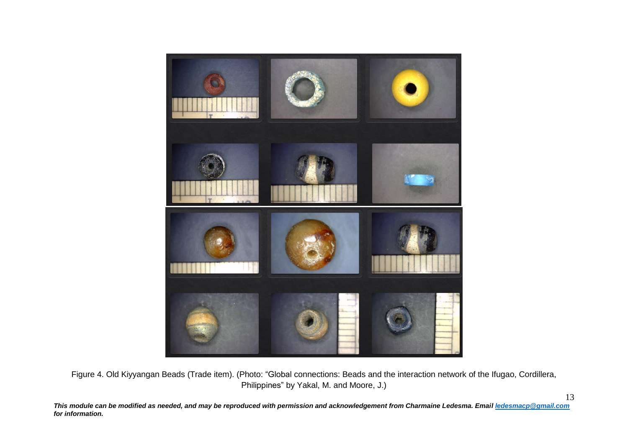

Figure 4. Old Kiyyangan Beads (Trade item). (Photo: "Global connections: Beads and the interaction network of the Ifugao, Cordillera, Philippines" by Yakal, M. and Moore, J.)

*This module can be modified as needed, and may be reproduced with permission and acknowledgement from Charmaine Ledesma. Emai[l ledesmacp@gmail.com](mailto:ledesmacp@gmail.com) for information.*